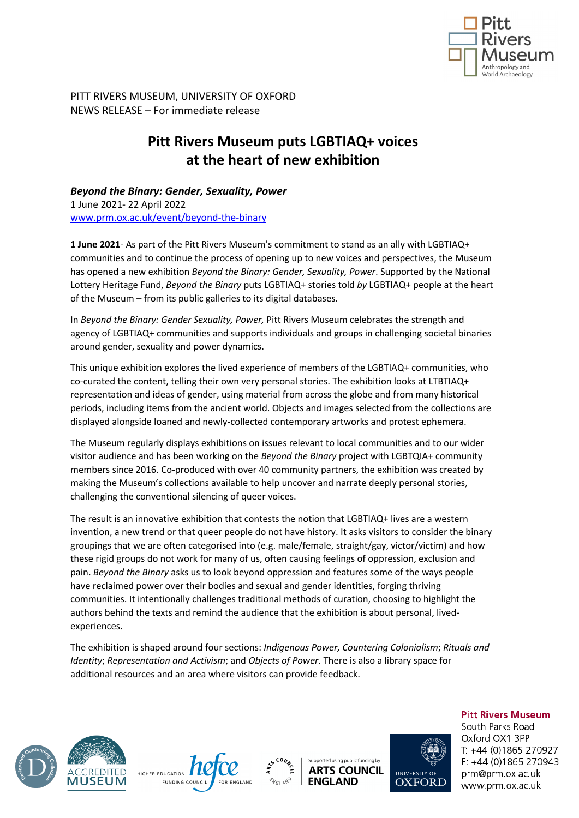

PITT RIVERS MUSEUM, UNIVERSITY OF OXFORD NEWS RELEASE – For immediate release

# **Pitt Rivers Museum puts LGBTIAQ+ voices at the heart of new exhibition**

*Beyond the Binary: Gender, Sexuality, Power* 1 June 2021- 22 April 2022 www.prm.ox.ac.uk/event/beyond-the-binary

**1 June 2021**- As part of the Pitt Rivers Museum's commitment to stand as an ally with LGBTIAQ+ communities and to continue the process of opening up to new voices and perspectives, the Museum has opened a new exhibition *Beyond the Binary: Gender, Sexuality, Power*. Supported by the National Lottery Heritage Fund, *Beyond the Binary* puts LGBTIAQ+ stories told *by* LGBTIAQ+ people at the heart of the Museum – from its public galleries to its digital databases.

In *Beyond the Binary: Gender Sexuality, Power,* Pitt Rivers Museum celebrates the strength and agency of LGBTIAQ+ communities and supports individuals and groups in challenging societal binaries around gender, sexuality and power dynamics.

This unique exhibition explores the lived experience of members of the LGBTIAQ+ communities, who co-curated the content, telling their own very personal stories. The exhibition looks at LTBTIAQ+ representation and ideas of gender, using material from across the globe and from many historical periods, including items from the ancient world. Objects and images selected from the collections are displayed alongside loaned and newly-collected contemporary artworks and protest ephemera.

The Museum regularly displays exhibitions on issues relevant to local communities and to our wider visitor audience and has been working on the *Beyond the Binary* project with LGBTQIA+ community members since 2016. Co-produced with over 40 community partners, the exhibition was created by making the Museum's collections available to help uncover and narrate deeply personal stories, challenging the conventional silencing of queer voices.

The result is an innovative exhibition that contests the notion that LGBTIAQ+ lives are a western invention, a new trend or that queer people do not have history. It asks visitors to consider the binary groupings that we are often categorised into (e.g. male/female, straight/gay, victor/victim) and how these rigid groups do not work for many of us, often causing feelings of oppression, exclusion and pain. *Beyond the Binary* asks us to look beyond oppression and features some of the ways people have reclaimed power over their bodies and sexual and gender identities, forging thriving communities. It intentionally challenges traditional methods of curation, choosing to highlight the authors behind the texts and remind the audience that the exhibition is about personal, livedexperiences.

The exhibition is shaped around four sections: *Indigenous Power, Countering Colonialism*; *Rituals and Identity*; *Representation and Activism*; and *Objects of Power*. There is also a library space for additional resources and an area where visitors can provide feedback.







Supported using public funding by **ARTS COUNCIL ENGLAND** 



**Pitt Rivers Museum** South Parks Road Oxford OX1 3PP T: +44 (0)1865 270927  $F: +44(0)1865270943$ prm@prm.ox.ac.uk www.prm.ox.ac.uk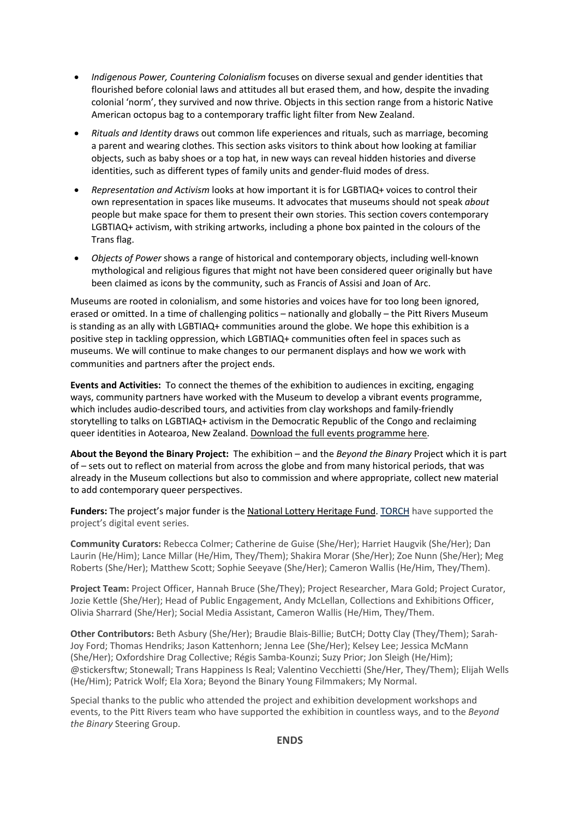- *Indigenous Power, Countering Colonialism* focuses on diverse sexual and gender identities that flourished before colonial laws and attitudes all but erased them, and how, despite the invading colonial 'norm', they survived and now thrive. Objects in this section range from a historic Native American octopus bag to a contemporary traffic light filter from New Zealand.
- *Rituals and Identity* draws out common life experiences and rituals, such as marriage, becoming a parent and wearing clothes. This section asks visitors to think about how looking at familiar objects, such as baby shoes or a top hat, in new ways can reveal hidden histories and diverse identities, such as different types of family units and gender-fluid modes of dress.
- *Representation and Activism* looks at how important it is for LGBTIAQ+ voices to control their own representation in spaces like museums. It advocates that museums should not speak *about*  people but make space for them to present their own stories. This section covers contemporary LGBTIAQ+ activism, with striking artworks, including a phone box painted in the colours of the Trans flag.
- *Objects of Power* shows a range of historical and contemporary objects, including well-known mythological and religious figures that might not have been considered queer originally but have been claimed as icons by the community, such as Francis of Assisi and Joan of Arc.

Museums are rooted in colonialism, and some histories and voices have for too long been ignored, erased or omitted. In a time of challenging politics – nationally and globally – the Pitt Rivers Museum is standing as an ally with LGBTIAQ+ communities around the globe. We hope this exhibition is a positive step in tackling oppression, which LGBTIAQ+ communities often feel in spaces such as museums. We will continue to make changes to our permanent displays and how we work with communities and partners after the project ends.

**Events and Activities:** To connect the themes of the exhibition to audiences in exciting, engaging ways, community partners have worked with the Museum to develop a vibrant events programme, which includes audio-described tours, and activities from clay workshops and family-friendly storytelling to talks on LGBTIAQ+ activism in the Democratic Republic of the Congo and reclaiming queer identities in Aotearoa, New Zealand. Download the full events programme here.

**About the Beyond the Binary Project:** The exhibition – and the *Beyond the Binary* Project which it is part of – sets out to reflect on material from across the globe and from many historical periods, that was already in the Museum collections but also to commission and where appropriate, collect new material to add contemporary queer perspectives.

**Funders:** The project's major funder is the National Lottery Heritage Fund. TORCH have supported the project's digital event series.

**Community Curators:** Rebecca Colmer; Catherine de Guise (She/Her); Harriet Haugvik (She/Her); Dan Laurin (He/Him); Lance Millar (He/Him, They/Them); Shakira Morar (She/Her); Zoe Nunn (She/Her); Meg Roberts (She/Her); Matthew Scott; Sophie Seeyave (She/Her); Cameron Wallis (He/Him, They/Them).

**Project Team:** Project Officer, Hannah Bruce (She/They); Project Researcher, Mara Gold; Project Curator, Jozie Kettle (She/Her); Head of Public Engagement, Andy McLellan, Collections and Exhibitions Officer, Olivia Sharrard (She/Her); Social Media Assistant, Cameron Wallis (He/Him, They/Them.

**Other Contributors:** Beth Asbury (She/Her); Braudie Blais-Billie; ButCH; Dotty Clay (They/Them); Sarah-Joy Ford; Thomas Hendriks; Jason Kattenhorn; Jenna Lee (She/Her); Kelsey Lee; Jessica McMann (She/Her); Oxfordshire Drag Collective; Régis Samba-Kounzi; Suzy Prior; Jon Sleigh (He/Him); @stickersftw; Stonewall; Trans Happiness Is Real; Valentino Vecchietti (She/Her, They/Them); Elijah Wells (He/Him); Patrick Wolf; Ela Xora; Beyond the Binary Young Filmmakers; My Normal.

Special thanks to the public who attended the project and exhibition development workshops and events, to the Pitt Rivers team who have supported the exhibition in countless ways, and to the *Beyond the Binary* Steering Group.